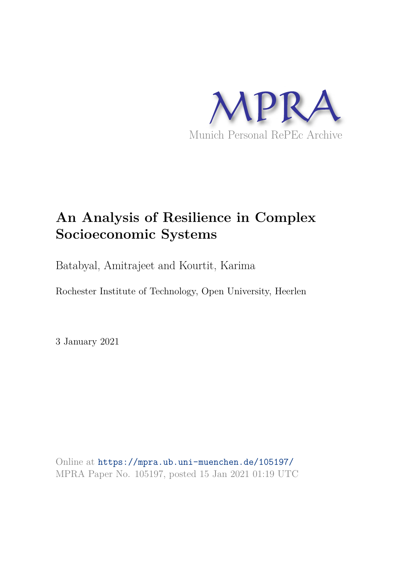

## **An Analysis of Resilience in Complex Socioeconomic Systems**

Batabyal, Amitrajeet and Kourtit, Karima

Rochester Institute of Technology, Open University, Heerlen

3 January 2021

Online at https://mpra.ub.uni-muenchen.de/105197/ MPRA Paper No. 105197, posted 15 Jan 2021 01:19 UTC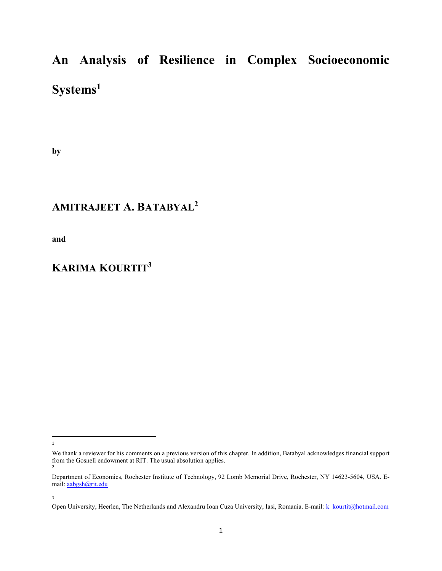## An Analysis of Resilience in Complex Socioeconomic Systems<sup>1</sup>

by

### AMITRAJEET A. BATABYAL<sup>2</sup>

and

### KARIMA KOURTIT<sup>3</sup>

<sup>1</sup>

We thank a reviewer for his comments on a previous version of this chapter. In addition, Batabyal acknowledges financial support from the Gosnell endowment at RIT. The usual absolution applies. 2

Department of Economics, Rochester Institute of Technology, 92 Lomb Memorial Drive, Rochester, NY 14623-5604, USA. Email: aabgsh@rit.edu

<sup>3</sup> 

Open University, Heerlen, The Netherlands and Alexandru Ioan Cuza University, Iasi, Romania. E-mail: k\_kourtit@hotmail.com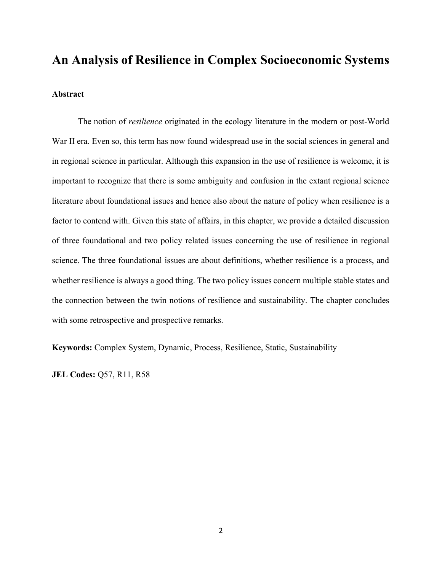# An Analysis of Resilience in Complex Socioeconomic Systems Abstract

The notion of *resilience* originated in the ecology literature in the modern or post-World War II era. Even so, this term has now found widespread use in the social sciences in general and in regional science in particular. Although this expansion in the use of resilience is welcome, it is important to recognize that there is some ambiguity and confusion in the extant regional science literature about foundational issues and hence also about the nature of policy when resilience is a factor to contend with. Given this state of affairs, in this chapter, we provide a detailed discussion of three foundational and two policy related issues concerning the use of resilience in regional science. The three foundational issues are about definitions, whether resilience is a process, and whether resilience is always a good thing. The two policy issues concern multiple stable states and the connection between the twin notions of resilience and sustainability. The chapter concludes with some retrospective and prospective remarks.

Keywords: Complex System, Dynamic, Process, Resilience, Static, Sustainability

JEL Codes: Q57, R11, R58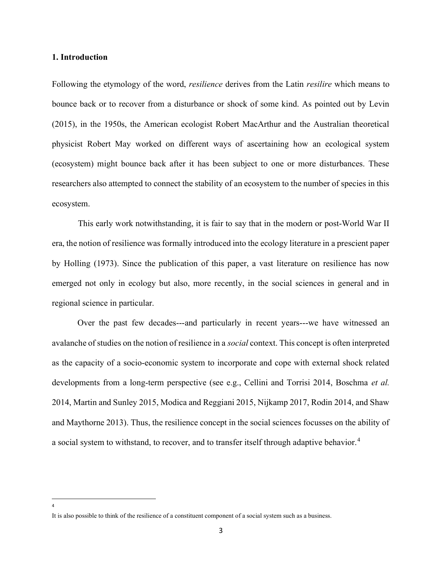#### 1. Introduction

Following the etymology of the word, *resilience* derives from the Latin *resilire* which means to bounce back or to recover from a disturbance or shock of some kind. As pointed out by Levin (2015), in the 1950s, the American ecologist Robert MacArthur and the Australian theoretical physicist Robert May worked on different ways of ascertaining how an ecological system (ecosystem) might bounce back after it has been subject to one or more disturbances. These researchers also attempted to connect the stability of an ecosystem to the number of species in this ecosystem.

 This early work notwithstanding, it is fair to say that in the modern or post-World War II era, the notion of resilience was formally introduced into the ecology literature in a prescient paper by Holling (1973). Since the publication of this paper, a vast literature on resilience has now emerged not only in ecology but also, more recently, in the social sciences in general and in regional science in particular.

Over the past few decades---and particularly in recent years---we have witnessed an avalanche of studies on the notion of resilience in a social context. This concept is often interpreted as the capacity of a socio-economic system to incorporate and cope with external shock related developments from a long-term perspective (see e.g., Cellini and Torrisi 2014, Boschma et al. 2014, Martin and Sunley 2015, Modica and Reggiani 2015, Nijkamp 2017, Rodin 2014, and Shaw and Maythorne 2013). Thus, the resilience concept in the social sciences focusses on the ability of a social system to withstand, to recover, and to transfer itself through adaptive behavior.<sup>4</sup>

It is also possible to think of the resilience of a constituent component of a social system such as a business.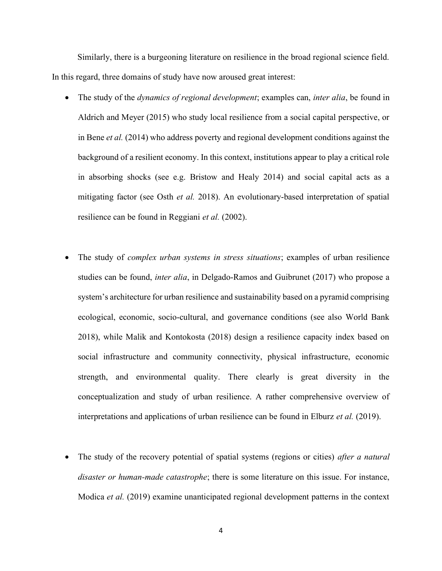Similarly, there is a burgeoning literature on resilience in the broad regional science field. In this regard, three domains of study have now aroused great interest:

- The study of the *dynamics of regional development*; examples can, *inter alia*, be found in Aldrich and Meyer (2015) who study local resilience from a social capital perspective, or in Bene *et al.* (2014) who address poverty and regional development conditions against the background of a resilient economy. In this context, institutions appear to play a critical role in absorbing shocks (see e.g. Bristow and Healy 2014) and social capital acts as a mitigating factor (see Osth *et al.* 2018). An evolutionary-based interpretation of spatial resilience can be found in Reggiani *et al.* (2002).
- The study of complex urban systems in stress situations; examples of urban resilience studies can be found, *inter alia*, in Delgado-Ramos and Guibrunet (2017) who propose a system's architecture for urban resilience and sustainability based on a pyramid comprising ecological, economic, socio-cultural, and governance conditions (see also World Bank 2018), while Malik and Kontokosta (2018) design a resilience capacity index based on social infrastructure and community connectivity, physical infrastructure, economic strength, and environmental quality. There clearly is great diversity in the conceptualization and study of urban resilience. A rather comprehensive overview of interpretations and applications of urban resilience can be found in Elburz *et al.* (2019).
- The study of the recovery potential of spatial systems (regions or cities) *after a natural* disaster or human-made catastrophe; there is some literature on this issue. For instance, Modica *et al.* (2019) examine unanticipated regional development patterns in the context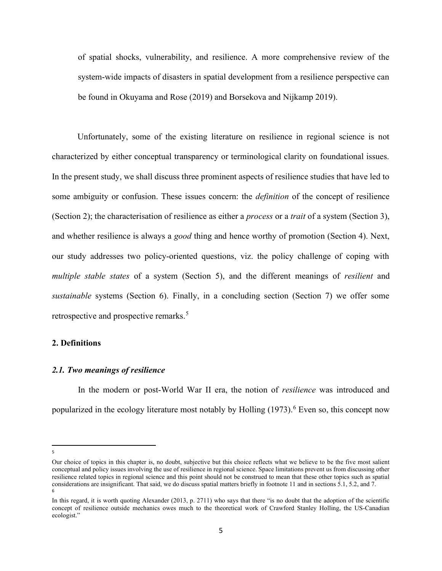of spatial shocks, vulnerability, and resilience. A more comprehensive review of the system-wide impacts of disasters in spatial development from a resilience perspective can be found in Okuyama and Rose (2019) and Borsekova and Nijkamp 2019).

Unfortunately, some of the existing literature on resilience in regional science is not characterized by either conceptual transparency or terminological clarity on foundational issues. In the present study, we shall discuss three prominent aspects of resilience studies that have led to some ambiguity or confusion. These issues concern: the *definition* of the concept of resilience (Section 2); the characterisation of resilience as either a *process* or a *trait* of a system (Section 3), and whether resilience is always a *good* thing and hence worthy of promotion (Section 4). Next, our study addresses two policy-oriented questions, viz. the policy challenge of coping with multiple stable states of a system (Section 5), and the different meanings of *resilient* and sustainable systems (Section 6). Finally, in a concluding section (Section 7) we offer some retrospective and prospective remarks.<sup>5</sup>

#### 2. Definitions

#### 2.1. Two meanings of resilience

In the modern or post-World War II era, the notion of *resilience* was introduced and popularized in the ecology literature most notably by Holling (1973).<sup>6</sup> Even so, this concept now

Our choice of topics in this chapter is, no doubt, subjective but this choice reflects what we believe to be the five most salient conceptual and policy issues involving the use of resilience in regional science. Space limitations prevent us from discussing other resilience related topics in regional science and this point should not be construed to mean that these other topics such as spatial considerations are insignificant. That said, we do discuss spatial matters briefly in footnote 11 and in sections 5.1, 5.2, and 7. 6

In this regard, it is worth quoting Alexander (2013, p. 2711) who says that there "is no doubt that the adoption of the scientific concept of resilience outside mechanics owes much to the theoretical work of Crawford Stanley Holling, the US-Canadian ecologist."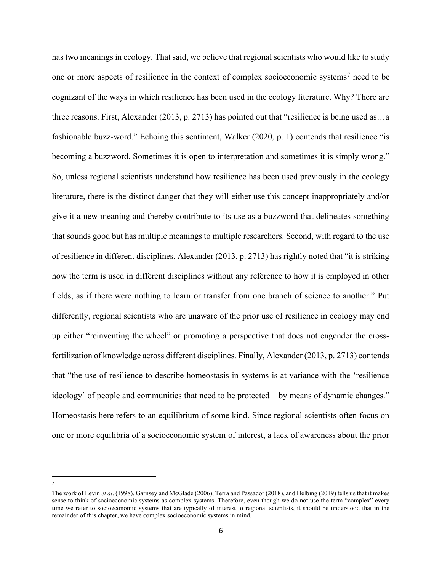has two meanings in ecology. That said, we believe that regional scientists who would like to study one or more aspects of resilience in the context of complex socioeconomic systems<sup>7</sup> need to be cognizant of the ways in which resilience has been used in the ecology literature. Why? There are three reasons. First, Alexander (2013, p. 2713) has pointed out that "resilience is being used as…a fashionable buzz-word." Echoing this sentiment, Walker (2020, p. 1) contends that resilience "is becoming a buzzword. Sometimes it is open to interpretation and sometimes it is simply wrong." So, unless regional scientists understand how resilience has been used previously in the ecology literature, there is the distinct danger that they will either use this concept inappropriately and/or give it a new meaning and thereby contribute to its use as a buzzword that delineates something that sounds good but has multiple meanings to multiple researchers. Second, with regard to the use of resilience in different disciplines, Alexander (2013, p. 2713) has rightly noted that "it is striking how the term is used in different disciplines without any reference to how it is employed in other fields, as if there were nothing to learn or transfer from one branch of science to another." Put differently, regional scientists who are unaware of the prior use of resilience in ecology may end up either "reinventing the wheel" or promoting a perspective that does not engender the crossfertilization of knowledge across different disciplines. Finally, Alexander (2013, p. 2713) contends that "the use of resilience to describe homeostasis in systems is at variance with the 'resilience ideology' of people and communities that need to be protected – by means of dynamic changes." Homeostasis here refers to an equilibrium of some kind. Since regional scientists often focus on one or more equilibria of a socioeconomic system of interest, a lack of awareness about the prior

<sup>7</sup>

The work of Levin et al. (1998), Garnsey and McGlade (2006), Terra and Passador (2018), and Helbing (2019) tells us that it makes sense to think of socioeconomic systems as complex systems. Therefore, even though we do not use the term "complex" every time we refer to socioeconomic systems that are typically of interest to regional scientists, it should be understood that in the remainder of this chapter, we have complex socioeconomic systems in mind.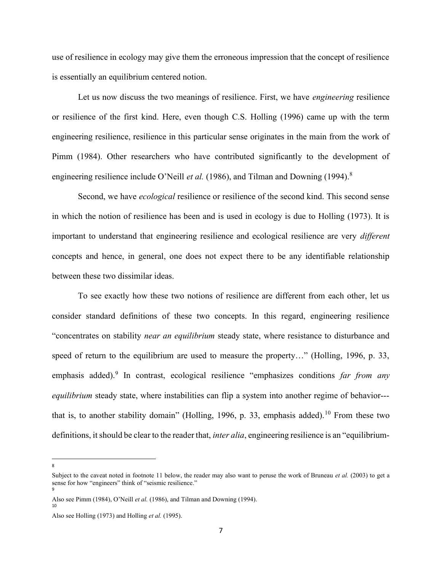use of resilience in ecology may give them the erroneous impression that the concept of resilience is essentially an equilibrium centered notion.

Let us now discuss the two meanings of resilience. First, we have *engineering* resilience or resilience of the first kind. Here, even though C.S. Holling (1996) came up with the term engineering resilience, resilience in this particular sense originates in the main from the work of Pimm (1984). Other researchers who have contributed significantly to the development of engineering resilience include O'Neill *et al.* (1986), and Tilman and Downing (1994).<sup>8</sup>

Second, we have *ecological* resilience or resilience of the second kind. This second sense in which the notion of resilience has been and is used in ecology is due to Holling (1973). It is important to understand that engineering resilience and ecological resilience are very *different* concepts and hence, in general, one does not expect there to be any identifiable relationship between these two dissimilar ideas.

 To see exactly how these two notions of resilience are different from each other, let us consider standard definitions of these two concepts. In this regard, engineering resilience "concentrates on stability near an equilibrium steady state, where resistance to disturbance and speed of return to the equilibrium are used to measure the property..." (Holling, 1996, p. 33, emphasis added).<sup>9</sup> In contrast, ecological resilience "emphasizes conditions far from any equilibrium steady state, where instabilities can flip a system into another regime of behavior--that is, to another stability domain" (Holling, 1996, p. 33, emphasis added).<sup>10</sup> From these two definitions, it should be clear to the reader that, *inter alia*, engineering resilience is an "equilibrium-

8

Subject to the caveat noted in footnote 11 below, the reader may also want to peruse the work of Bruneau *et al.* (2003) to get a sense for how "engineers" think of "seismic resilience." 9

Also see Pimm (1984), O'Neill et al. (1986), and Tilman and Downing (1994).

Also see Holling (1973) and Holling et al. (1995).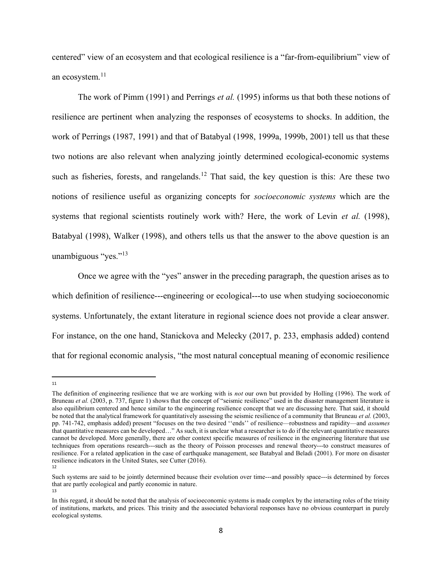centered" view of an ecosystem and that ecological resilience is a "far-from-equilibrium" view of an ecosystem.<sup>11</sup>

The work of Pimm (1991) and Perrings *et al.* (1995) informs us that both these notions of resilience are pertinent when analyzing the responses of ecosystems to shocks. In addition, the work of Perrings (1987, 1991) and that of Batabyal (1998, 1999a, 1999b, 2001) tell us that these two notions are also relevant when analyzing jointly determined ecological-economic systems such as fisheries, forests, and rangelands.<sup>12</sup> That said, the key question is this: Are these two notions of resilience useful as organizing concepts for socioeconomic systems which are the systems that regional scientists routinely work with? Here, the work of Levin et al. (1998), Batabyal (1998), Walker (1998), and others tells us that the answer to the above question is an unambiguous "yes."<sup>13</sup>

 Once we agree with the "yes" answer in the preceding paragraph, the question arises as to which definition of resilience---engineering or ecological---to use when studying socioeconomic systems. Unfortunately, the extant literature in regional science does not provide a clear answer. For instance, on the one hand, Stanickova and Melecky (2017, p. 233, emphasis added) contend that for regional economic analysis, "the most natural conceptual meaning of economic resilience

<sup>11</sup>

The definition of engineering resilience that we are working with is not our own but provided by Holling (1996). The work of Bruneau et al. (2003, p. 737, figure 1) shows that the concept of "seismic resilience" used in the disaster management literature is also equilibrium centered and hence similar to the engineering resilience concept that we are discussing here. That said, it should be noted that the analytical framework for quantitatively assessing the seismic resilience of a community that Bruneau et al. (2003, pp. 741-742, emphasis added) present "focuses on the two desired ''ends'' of resilience—robustness and rapidity—and assumes that quantitative measures can be developed…" As such, it is unclear what a researcher is to do if the relevant quantitative measures cannot be developed. More generally, there are other context specific measures of resilience in the engineering literature that use techniques from operations research---such as the theory of Poisson processes and renewal theory---to construct measures of resilience. For a related application in the case of earthquake management, see Batabyal and Beladi (2001). For more on disaster resilience indicators in the United States, see Cutter (2016). 12

Such systems are said to be jointly determined because their evolution over time---and possibly space---is determined by forces that are partly ecological and partly economic in nature. 13

In this regard, it should be noted that the analysis of socioeconomic systems is made complex by the interacting roles of the trinity of institutions, markets, and prices. This trinity and the associated behavioral responses have no obvious counterpart in purely ecological systems.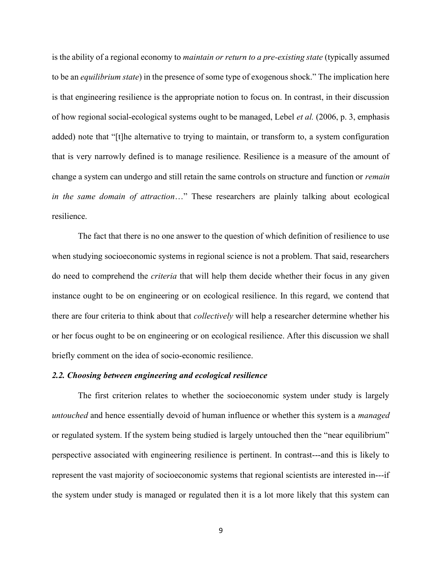is the ability of a regional economy to *maintain or return to a pre-existing state* (typically assumed to be an *equilibrium state*) in the presence of some type of exogenous shock." The implication here is that engineering resilience is the appropriate notion to focus on. In contrast, in their discussion of how regional social-ecological systems ought to be managed, Lebel et al. (2006, p. 3, emphasis added) note that "[t]he alternative to trying to maintain, or transform to, a system configuration that is very narrowly defined is to manage resilience. Resilience is a measure of the amount of change a system can undergo and still retain the same controls on structure and function or remain in the same domain of attraction…" These researchers are plainly talking about ecological resilience.

 The fact that there is no one answer to the question of which definition of resilience to use when studying socioeconomic systems in regional science is not a problem. That said, researchers do need to comprehend the criteria that will help them decide whether their focus in any given instance ought to be on engineering or on ecological resilience. In this regard, we contend that there are four criteria to think about that *collectively* will help a researcher determine whether his or her focus ought to be on engineering or on ecological resilience. After this discussion we shall briefly comment on the idea of socio-economic resilience.

#### 2.2. Choosing between engineering and ecological resilience

 The first criterion relates to whether the socioeconomic system under study is largely untouched and hence essentially devoid of human influence or whether this system is a *managed* or regulated system. If the system being studied is largely untouched then the "near equilibrium" perspective associated with engineering resilience is pertinent. In contrast---and this is likely to represent the vast majority of socioeconomic systems that regional scientists are interested in---if the system under study is managed or regulated then it is a lot more likely that this system can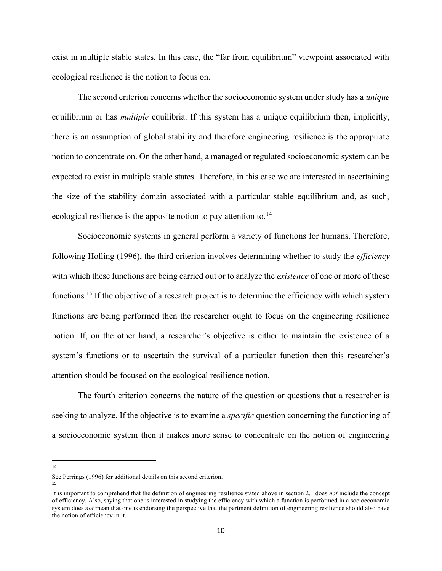exist in multiple stable states. In this case, the "far from equilibrium" viewpoint associated with ecological resilience is the notion to focus on.

The second criterion concerns whether the socioeconomic system under study has a *unique* equilibrium or has *multiple* equilibria. If this system has a unique equilibrium then, implicitly, there is an assumption of global stability and therefore engineering resilience is the appropriate notion to concentrate on. On the other hand, a managed or regulated socioeconomic system can be expected to exist in multiple stable states. Therefore, in this case we are interested in ascertaining the size of the stability domain associated with a particular stable equilibrium and, as such, ecological resilience is the apposite notion to pay attention to.<sup>14</sup>

 Socioeconomic systems in general perform a variety of functions for humans. Therefore, following Holling (1996), the third criterion involves determining whether to study the *efficiency* with which these functions are being carried out or to analyze the *existence* of one or more of these functions.<sup>15</sup> If the objective of a research project is to determine the efficiency with which system functions are being performed then the researcher ought to focus on the engineering resilience notion. If, on the other hand, a researcher's objective is either to maintain the existence of a system's functions or to ascertain the survival of a particular function then this researcher's attention should be focused on the ecological resilience notion.

 The fourth criterion concerns the nature of the question or questions that a researcher is seeking to analyze. If the objective is to examine a *specific* question concerning the functioning of a socioeconomic system then it makes more sense to concentrate on the notion of engineering

14

See Perrings (1996) for additional details on this second criterion.

It is important to comprehend that the definition of engineering resilience stated above in section 2.1 does *not* include the concept of efficiency. Also, saying that one is interested in studying the efficiency with which a function is performed in a socioeconomic system does not mean that one is endorsing the perspective that the pertinent definition of engineering resilience should also have the notion of efficiency in it.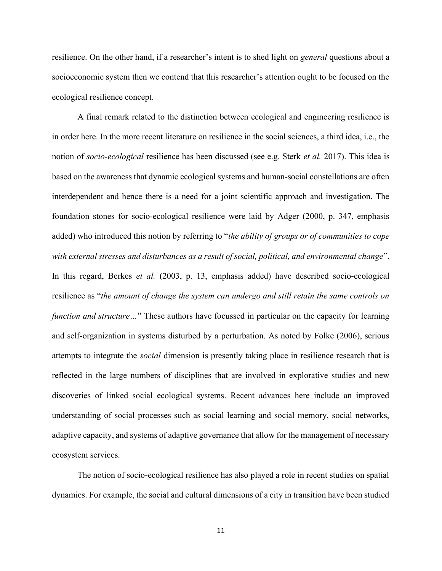resilience. On the other hand, if a researcher's intent is to shed light on *general* questions about a socioeconomic system then we contend that this researcher's attention ought to be focused on the ecological resilience concept.

A final remark related to the distinction between ecological and engineering resilience is in order here. In the more recent literature on resilience in the social sciences, a third idea, i.e., the notion of *socio-ecological* resilience has been discussed (see e.g. Sterk *et al.* 2017). This idea is based on the awareness that dynamic ecological systems and human-social constellations are often interdependent and hence there is a need for a joint scientific approach and investigation. The foundation stones for socio-ecological resilience were laid by Adger (2000, p. 347, emphasis added) who introduced this notion by referring to "the ability of groups or of communities to cope with external stresses and disturbances as a result of social, political, and environmental change". In this regard, Berkes et al. (2003, p. 13, emphasis added) have described socio-ecological resilience as "the amount of change the system can undergo and still retain the same controls on function and structure..." These authors have focussed in particular on the capacity for learning and self-organization in systems disturbed by a perturbation. As noted by Folke (2006), serious attempts to integrate the social dimension is presently taking place in resilience research that is reflected in the large numbers of disciplines that are involved in explorative studies and new discoveries of linked social–ecological systems. Recent advances here include an improved understanding of social processes such as social learning and social memory, social networks, adaptive capacity, and systems of adaptive governance that allow for the management of necessary ecosystem services.

The notion of socio-ecological resilience has also played a role in recent studies on spatial dynamics. For example, the social and cultural dimensions of a city in transition have been studied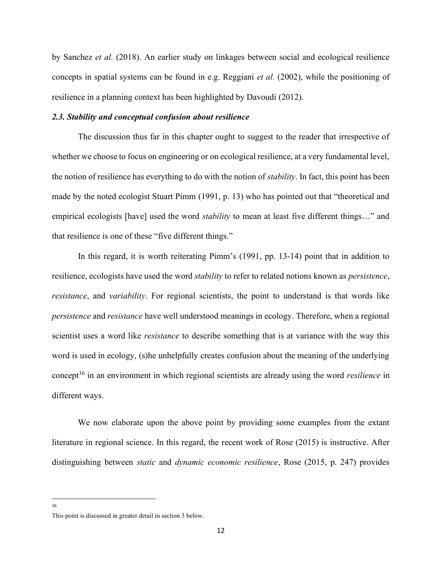by Sanchez et al. (2018). An earlier study on linkages between social and ecological resilience concepts in spatial systems can be found in e.g. Reggiani et al. (2002), while the positioning of resilience in a planning context has been highlighted by Davoudi (2012).

#### 2.3. Stability and conceptual confusion about resilience

 The discussion thus far in this chapter ought to suggest to the reader that irrespective of whether we choose to focus on engineering or on ecological resilience, at a very fundamental level, the notion of resilience has everything to do with the notion of *stability*. In fact, this point has been made by the noted ecologist Stuart Pimm (1991, p. 13) who has pointed out that "theoretical and empirical ecologists [have] used the word *stability* to mean at least five different things..." and that resilience is one of these "five different things."

 In this regard, it is worth reiterating Pimm's (1991, pp. 13-14) point that in addition to resilience, ecologists have used the word *stability* to refer to related notions known as *persistence*, resistance, and variability. For regional scientists, the point to understand is that words like persistence and resistance have well understood meanings in ecology. Therefore, when a regional scientist uses a word like *resistance* to describe something that is at variance with the way this word is used in ecology, (s)he unhelpfully creates confusion about the meaning of the underlying concept<sup>16</sup> in an environment in which regional scientists are already using the word *resilience* in different ways.

 We now elaborate upon the above point by providing some examples from the extant literature in regional science. In this regard, the recent work of Rose (2015) is instructive. After distinguishing between static and dynamic economic resilience, Rose (2015, p. 247) provides

<sup>16</sup>

This point is discussed in greater detail in section 3 below.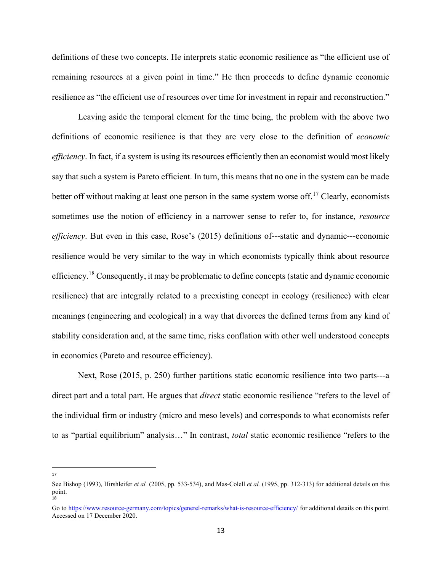definitions of these two concepts. He interprets static economic resilience as "the efficient use of remaining resources at a given point in time." He then proceeds to define dynamic economic resilience as "the efficient use of resources over time for investment in repair and reconstruction."

 Leaving aside the temporal element for the time being, the problem with the above two definitions of economic resilience is that they are very close to the definition of economic efficiency. In fact, if a system is using its resources efficiently then an economist would most likely say that such a system is Pareto efficient. In turn, this means that no one in the system can be made better off without making at least one person in the same system worse off.<sup>17</sup> Clearly, economists sometimes use the notion of efficiency in a narrower sense to refer to, for instance, *resource* efficiency. But even in this case, Rose's (2015) definitions of---static and dynamic---economic resilience would be very similar to the way in which economists typically think about resource efficiency.<sup>18</sup> Consequently, it may be problematic to define concepts (static and dynamic economic resilience) that are integrally related to a preexisting concept in ecology (resilience) with clear meanings (engineering and ecological) in a way that divorces the defined terms from any kind of stability consideration and, at the same time, risks conflation with other well understood concepts in economics (Pareto and resource efficiency).

 Next, Rose (2015, p. 250) further partitions static economic resilience into two parts---a direct part and a total part. He argues that *direct* static economic resilience "refers to the level of the individual firm or industry (micro and meso levels) and corresponds to what economists refer to as "partial equilibrium" analysis..." In contrast, *total* static economic resilience "refers to the

See Bishop (1993), Hirshleifer et al. (2005, pp. 533-534), and Mas-Colell et al. (1995, pp. 312-313) for additional details on this point. 18

Go to https://www.resource-germany.com/topics/generel-remarks/what-is-resource-efficiency/ for additional details on this point. Accessed on 17 December 2020.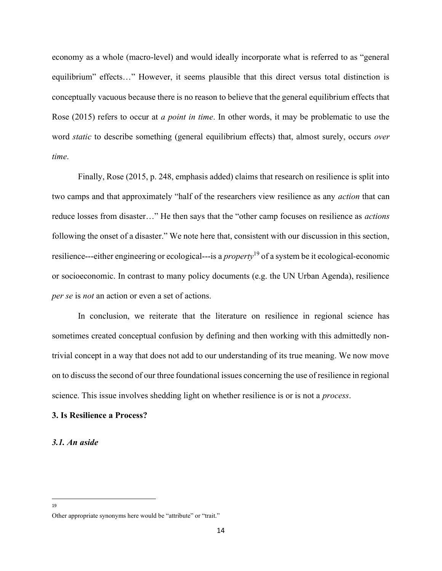economy as a whole (macro-level) and would ideally incorporate what is referred to as "general equilibrium" effects…" However, it seems plausible that this direct versus total distinction is conceptually vacuous because there is no reason to believe that the general equilibrium effects that Rose (2015) refers to occur at *a point in time*. In other words, it may be problematic to use the word *static* to describe something (general equilibrium effects) that, almost surely, occurs *over* time.

 Finally, Rose (2015, p. 248, emphasis added) claims that research on resilience is split into two camps and that approximately "half of the researchers view resilience as any action that can reduce losses from disaster…" He then says that the "other camp focuses on resilience as actions following the onset of a disaster." We note here that, consistent with our discussion in this section, resilience---either engineering or ecological---is a *property*<sup>19</sup> of a system be it ecological-economic or socioeconomic. In contrast to many policy documents (e.g. the UN Urban Agenda), resilience per se is not an action or even a set of actions.

In conclusion, we reiterate that the literature on resilience in regional science has sometimes created conceptual confusion by defining and then working with this admittedly nontrivial concept in a way that does not add to our understanding of its true meaning. We now move on to discuss the second of our three foundational issues concerning the use of resilience in regional science. This issue involves shedding light on whether resilience is or is not a *process*.

#### 3. Is Resilience a Process?

#### 3.1. An aside

Other appropriate synonyms here would be "attribute" or "trait."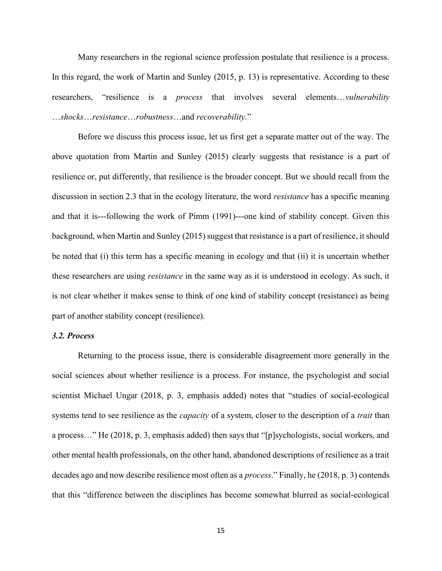Many researchers in the regional science profession postulate that resilience is a process. In this regard, the work of Martin and Sunley (2015, p. 13) is representative. According to these researchers, "resilience is a *process* that involves several elements...*vulnerability* …shocks…resistance…robustness…and recoverability."

Before we discuss this process issue, let us first get a separate matter out of the way. The above quotation from Martin and Sunley (2015) clearly suggests that resistance is a part of resilience or, put differently, that resilience is the broader concept. But we should recall from the discussion in section 2.3 that in the ecology literature, the word *resistance* has a specific meaning and that it is---following the work of Pimm (1991)---one kind of stability concept. Given this background, when Martin and Sunley (2015) suggest that resistance is a part of resilience, it should be noted that (i) this term has a specific meaning in ecology and that (ii) it is uncertain whether these researchers are using resistance in the same way as it is understood in ecology. As such, it is not clear whether it makes sense to think of one kind of stability concept (resistance) as being part of another stability concept (resilience).

#### 3.2. Process

 Returning to the process issue, there is considerable disagreement more generally in the social sciences about whether resilience is a process. For instance, the psychologist and social scientist Michael Ungar (2018, p. 3, emphasis added) notes that "studies of social-ecological systems tend to see resilience as the *capacity* of a system, closer to the description of a *trait* than a process…" He (2018, p. 3, emphasis added) then says that "[p]sychologists, social workers, and other mental health professionals, on the other hand, abandoned descriptions of resilience as a trait decades ago and now describe resilience most often as a process." Finally, he (2018, p. 3) contends that this "difference between the disciplines has become somewhat blurred as social-ecological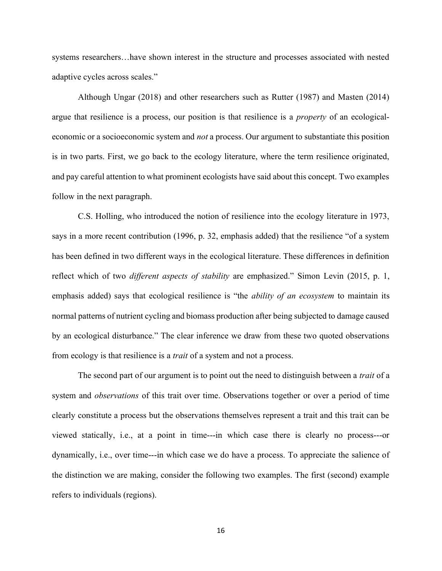systems researchers…have shown interest in the structure and processes associated with nested adaptive cycles across scales."

 Although Ungar (2018) and other researchers such as Rutter (1987) and Masten (2014) argue that resilience is a process, our position is that resilience is a property of an ecologicaleconomic or a socioeconomic system and not a process. Our argument to substantiate this position is in two parts. First, we go back to the ecology literature, where the term resilience originated, and pay careful attention to what prominent ecologists have said about this concept. Two examples follow in the next paragraph.

C.S. Holling, who introduced the notion of resilience into the ecology literature in 1973, says in a more recent contribution (1996, p. 32, emphasis added) that the resilience "of a system has been defined in two different ways in the ecological literature. These differences in definition reflect which of two *different aspects of stability* are emphasized." Simon Levin (2015, p. 1, emphasis added) says that ecological resilience is "the *ability of an ecosystem* to maintain its normal patterns of nutrient cycling and biomass production after being subjected to damage caused by an ecological disturbance." The clear inference we draw from these two quoted observations from ecology is that resilience is a trait of a system and not a process.

The second part of our argument is to point out the need to distinguish between a *trait* of a system and *observations* of this trait over time. Observations together or over a period of time clearly constitute a process but the observations themselves represent a trait and this trait can be viewed statically, i.e., at a point in time---in which case there is clearly no process---or dynamically, i.e., over time---in which case we do have a process. To appreciate the salience of the distinction we are making, consider the following two examples. The first (second) example refers to individuals (regions).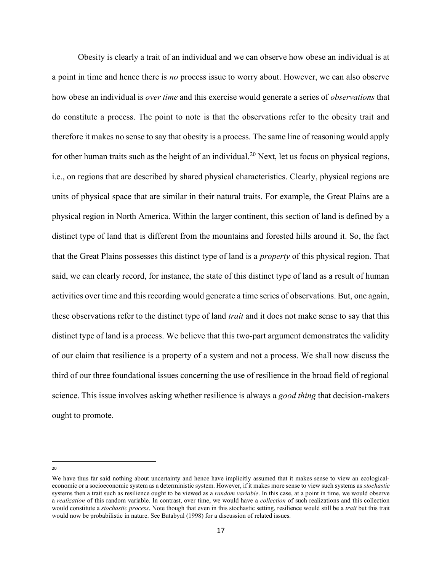Obesity is clearly a trait of an individual and we can observe how obese an individual is at a point in time and hence there is no process issue to worry about. However, we can also observe how obese an individual is *over time* and this exercise would generate a series of *observations* that do constitute a process. The point to note is that the observations refer to the obesity trait and therefore it makes no sense to say that obesity is a process. The same line of reasoning would apply for other human traits such as the height of an individual.<sup>20</sup> Next, let us focus on physical regions, i.e., on regions that are described by shared physical characteristics. Clearly, physical regions are units of physical space that are similar in their natural traits. For example, the Great Plains are a physical region in North America. Within the larger continent, this section of land is defined by a distinct type of land that is different from the mountains and forested hills around it. So, the fact that the Great Plains possesses this distinct type of land is a property of this physical region. That said, we can clearly record, for instance, the state of this distinct type of land as a result of human activities over time and this recording would generate a time series of observations. But, one again, these observations refer to the distinct type of land *trait* and it does not make sense to say that this distinct type of land is a process. We believe that this two-part argument demonstrates the validity of our claim that resilience is a property of a system and not a process. We shall now discuss the third of our three foundational issues concerning the use of resilience in the broad field of regional science. This issue involves asking whether resilience is always a good thing that decision-makers ought to promote.

We have thus far said nothing about uncertainty and hence have implicitly assumed that it makes sense to view an ecologicaleconomic or a socioeconomic system as a deterministic system. However, if it makes more sense to view such systems as *stochastic* systems then a trait such as resilience ought to be viewed as a *random variable*. In this case, at a point in time, we would observe a realization of this random variable. In contrast, over time, we would have a collection of such realizations and this collection would constitute a stochastic process. Note though that even in this stochastic setting, resilience would still be a trait but this trait would now be probabilistic in nature. See Batabyal (1998) for a discussion of related issues.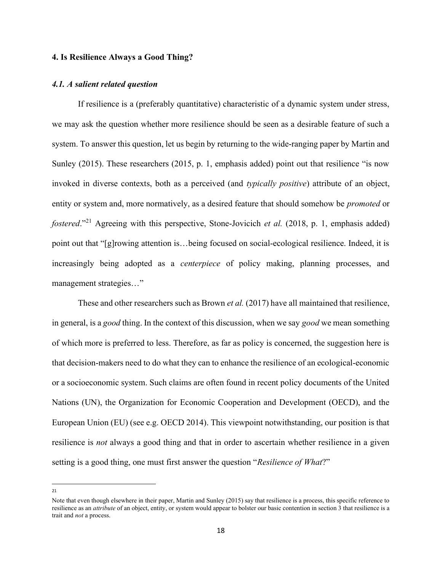#### 4. Is Resilience Always a Good Thing?

#### 4.1. A salient related question

 If resilience is a (preferably quantitative) characteristic of a dynamic system under stress, we may ask the question whether more resilience should be seen as a desirable feature of such a system. To answer this question, let us begin by returning to the wide-ranging paper by Martin and Sunley (2015). These researchers (2015, p. 1, emphasis added) point out that resilience "is now invoked in diverse contexts, both as a perceived (and typically positive) attribute of an object, entity or system and, more normatively, as a desired feature that should somehow be *promoted* or *fostered.*"<sup>21</sup> Agreeing with this perspective, Stone-Jovicich *et al.* (2018, p. 1, emphasis added) point out that "[g]rowing attention is…being focused on social-ecological resilience. Indeed, it is increasingly being adopted as a centerpiece of policy making, planning processes, and management strategies…"

These and other researchers such as Brown *et al.* (2017) have all maintained that resilience, in general, is a good thing. In the context of this discussion, when we say good we mean something of which more is preferred to less. Therefore, as far as policy is concerned, the suggestion here is that decision-makers need to do what they can to enhance the resilience of an ecological-economic or a socioeconomic system. Such claims are often found in recent policy documents of the United Nations (UN), the Organization for Economic Cooperation and Development (OECD), and the European Union (EU) (see e.g. OECD 2014). This viewpoint notwithstanding, our position is that resilience is not always a good thing and that in order to ascertain whether resilience in a given setting is a good thing, one must first answer the question "Resilience of What?"

Note that even though elsewhere in their paper, Martin and Sunley (2015) say that resilience is a process, this specific reference to resilience as an *attribute* of an object, entity, or system would appear to bolster our basic contention in section 3 that resilience is a trait and not a process.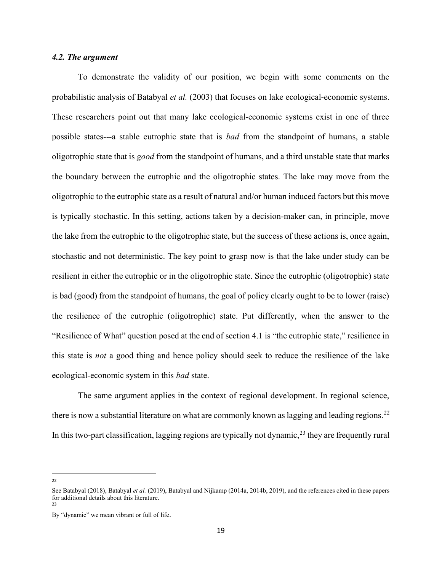#### 4.2. The argument

 To demonstrate the validity of our position, we begin with some comments on the probabilistic analysis of Batabyal et al. (2003) that focuses on lake ecological-economic systems. These researchers point out that many lake ecological-economic systems exist in one of three possible states---a stable eutrophic state that is bad from the standpoint of humans, a stable oligotrophic state that is good from the standpoint of humans, and a third unstable state that marks the boundary between the eutrophic and the oligotrophic states. The lake may move from the oligotrophic to the eutrophic state as a result of natural and/or human induced factors but this move is typically stochastic. In this setting, actions taken by a decision-maker can, in principle, move the lake from the eutrophic to the oligotrophic state, but the success of these actions is, once again, stochastic and not deterministic. The key point to grasp now is that the lake under study can be resilient in either the eutrophic or in the oligotrophic state. Since the eutrophic (oligotrophic) state is bad (good) from the standpoint of humans, the goal of policy clearly ought to be to lower (raise) the resilience of the eutrophic (oligotrophic) state. Put differently, when the answer to the "Resilience of What" question posed at the end of section 4.1 is "the eutrophic state," resilience in this state is not a good thing and hence policy should seek to reduce the resilience of the lake ecological-economic system in this bad state.

 The same argument applies in the context of regional development. In regional science, there is now a substantial literature on what are commonly known as lagging and leading regions.<sup>22</sup> In this two-part classification, lagging regions are typically not dynamic,<sup>23</sup> they are frequently rural

See Batabyal (2018), Batabyal et al. (2019), Batabyal and Nijkamp (2014a, 2014b, 2019), and the references cited in these papers for additional details about this literature.

<sup>23</sup>

By "dynamic" we mean vibrant or full of life.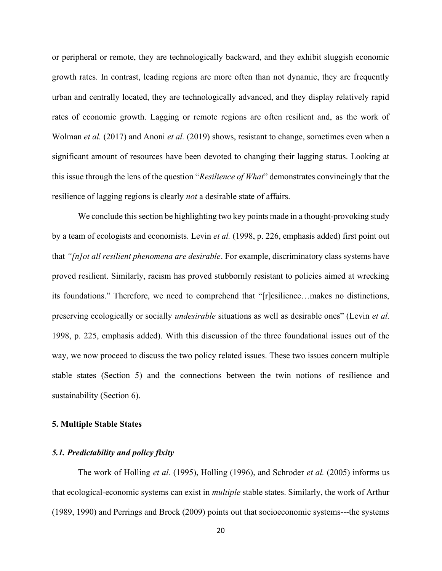or peripheral or remote, they are technologically backward, and they exhibit sluggish economic growth rates. In contrast, leading regions are more often than not dynamic, they are frequently urban and centrally located, they are technologically advanced, and they display relatively rapid rates of economic growth. Lagging or remote regions are often resilient and, as the work of Wolman et al. (2017) and Anoni et al. (2019) shows, resistant to change, sometimes even when a significant amount of resources have been devoted to changing their lagging status. Looking at this issue through the lens of the question "Resilience of What" demonstrates convincingly that the resilience of lagging regions is clearly *not* a desirable state of affairs.

We conclude this section be highlighting two key points made in a thought-provoking study by a team of ecologists and economists. Levin et al. (1998, p. 226, emphasis added) first point out that " $[n]$ ot all resilient phenomena are desirable. For example, discriminatory class systems have proved resilient. Similarly, racism has proved stubbornly resistant to policies aimed at wrecking its foundations." Therefore, we need to comprehend that "[r]esilience…makes no distinctions, preserving ecologically or socially *undesirable* situations as well as desirable ones" (Levin *et al.*) 1998, p. 225, emphasis added). With this discussion of the three foundational issues out of the way, we now proceed to discuss the two policy related issues. These two issues concern multiple stable states (Section 5) and the connections between the twin notions of resilience and sustainability (Section 6).

#### 5. Multiple Stable States

#### 5.1. Predictability and policy fixity

The work of Holling et al. (1995), Holling (1996), and Schroder et al. (2005) informs us that ecological-economic systems can exist in multiple stable states. Similarly, the work of Arthur (1989, 1990) and Perrings and Brock (2009) points out that socioeconomic systems---the systems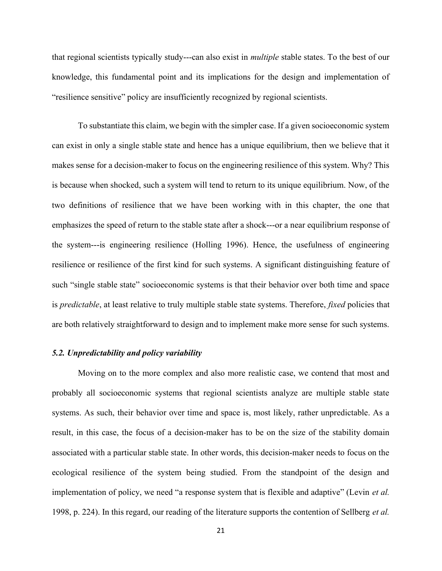that regional scientists typically study---can also exist in multiple stable states. To the best of our knowledge, this fundamental point and its implications for the design and implementation of "resilience sensitive" policy are insufficiently recognized by regional scientists.

 To substantiate this claim, we begin with the simpler case. If a given socioeconomic system can exist in only a single stable state and hence has a unique equilibrium, then we believe that it makes sense for a decision-maker to focus on the engineering resilience of this system. Why? This is because when shocked, such a system will tend to return to its unique equilibrium. Now, of the two definitions of resilience that we have been working with in this chapter, the one that emphasizes the speed of return to the stable state after a shock---or a near equilibrium response of the system---is engineering resilience (Holling 1996). Hence, the usefulness of engineering resilience or resilience of the first kind for such systems. A significant distinguishing feature of such "single stable state" socioeconomic systems is that their behavior over both time and space is *predictable*, at least relative to truly multiple stable state systems. Therefore, *fixed* policies that are both relatively straightforward to design and to implement make more sense for such systems.

#### 5.2. Unpredictability and policy variability

Moving on to the more complex and also more realistic case, we contend that most and probably all socioeconomic systems that regional scientists analyze are multiple stable state systems. As such, their behavior over time and space is, most likely, rather unpredictable. As a result, in this case, the focus of a decision-maker has to be on the size of the stability domain associated with a particular stable state. In other words, this decision-maker needs to focus on the ecological resilience of the system being studied. From the standpoint of the design and implementation of policy, we need "a response system that is flexible and adaptive" (Levin *et al.* 1998, p. 224). In this regard, our reading of the literature supports the contention of Sellberg *et al.*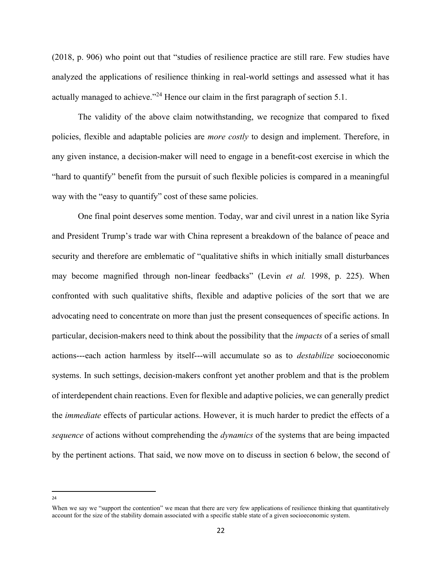(2018, p. 906) who point out that "studies of resilience practice are still rare. Few studies have analyzed the applications of resilience thinking in real-world settings and assessed what it has actually managed to achieve."<sup>24</sup> Hence our claim in the first paragraph of section 5.1.

The validity of the above claim notwithstanding, we recognize that compared to fixed policies, flexible and adaptable policies are more costly to design and implement. Therefore, in any given instance, a decision-maker will need to engage in a benefit-cost exercise in which the "hard to quantify" benefit from the pursuit of such flexible policies is compared in a meaningful way with the "easy to quantify" cost of these same policies.

One final point deserves some mention. Today, war and civil unrest in a nation like Syria and President Trump's trade war with China represent a breakdown of the balance of peace and security and therefore are emblematic of "qualitative shifts in which initially small disturbances may become magnified through non-linear feedbacks" (Levin et al. 1998, p. 225). When confronted with such qualitative shifts, flexible and adaptive policies of the sort that we are advocating need to concentrate on more than just the present consequences of specific actions. In particular, decision-makers need to think about the possibility that the *impacts* of a series of small actions---each action harmless by itself---will accumulate so as to destabilize socioeconomic systems. In such settings, decision-makers confront yet another problem and that is the problem of interdependent chain reactions. Even for flexible and adaptive policies, we can generally predict the immediate effects of particular actions. However, it is much harder to predict the effects of a sequence of actions without comprehending the *dynamics* of the systems that are being impacted by the pertinent actions. That said, we now move on to discuss in section 6 below, the second of

<sup>24</sup>

When we say we "support the contention" we mean that there are very few applications of resilience thinking that quantitatively account for the size of the stability domain associated with a specific stable state of a given socioeconomic system.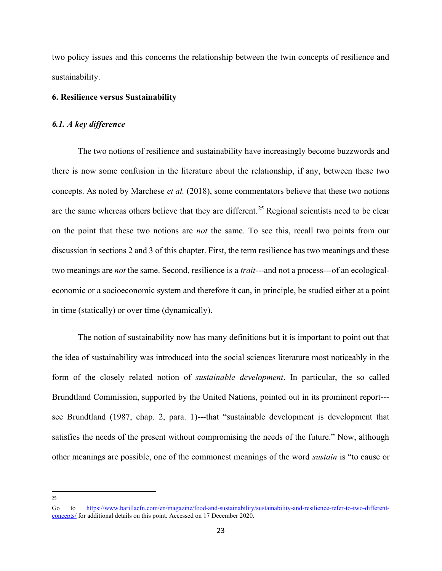two policy issues and this concerns the relationship between the twin concepts of resilience and sustainability.

#### 6. Resilience versus Sustainability

#### 6.1. A key difference

 The two notions of resilience and sustainability have increasingly become buzzwords and there is now some confusion in the literature about the relationship, if any, between these two concepts. As noted by Marchese et al. (2018), some commentators believe that these two notions are the same whereas others believe that they are different.<sup>25</sup> Regional scientists need to be clear on the point that these two notions are *not* the same. To see this, recall two points from our discussion in sections 2 and 3 of this chapter. First, the term resilience has two meanings and these two meanings are *not* the same. Second, resilience is a *trait*---and not a process---of an ecologicaleconomic or a socioeconomic system and therefore it can, in principle, be studied either at a point in time (statically) or over time (dynamically).

The notion of sustainability now has many definitions but it is important to point out that the idea of sustainability was introduced into the social sciences literature most noticeably in the form of the closely related notion of sustainable development. In particular, the so called Brundtland Commission, supported by the United Nations, pointed out in its prominent report-- see Brundtland (1987, chap. 2, para. 1)---that "sustainable development is development that satisfies the needs of the present without compromising the needs of the future." Now, although other meanings are possible, one of the commonest meanings of the word sustain is "to cause or

<sup>25</sup>

Go to https://www.barillacfn.com/en/magazine/food-and-sustainability/sustainability-and-resilience-refer-to-two-differentconcepts/ for additional details on this point. Accessed on 17 December 2020.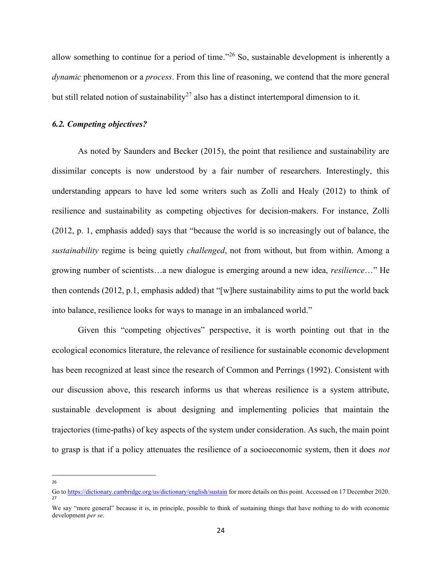allow something to continue for a period of time."<sup>26</sup> So, sustainable development is inherently a dynamic phenomenon or a *process*. From this line of reasoning, we contend that the more general but still related notion of sustainability<sup>27</sup> also has a distinct intertemporal dimension to it.

#### 6.2. Competing objectives?

As noted by Saunders and Becker (2015), the point that resilience and sustainability are dissimilar concepts is now understood by a fair number of researchers. Interestingly, this understanding appears to have led some writers such as Zolli and Healy (2012) to think of resilience and sustainability as competing objectives for decision-makers. For instance, Zolli (2012, p. 1, emphasis added) says that "because the world is so increasingly out of balance, the sustainability regime is being quietly *challenged*, not from without, but from within. Among a growing number of scientists…a new dialogue is emerging around a new idea, resilience…" He then contends (2012, p.1, emphasis added) that "[w]here sustainability aims to put the world back into balance, resilience looks for ways to manage in an imbalanced world."

Given this "competing objectives" perspective, it is worth pointing out that in the ecological economics literature, the relevance of resilience for sustainable economic development has been recognized at least since the research of Common and Perrings (1992). Consistent with our discussion above, this research informs us that whereas resilience is a system attribute, sustainable development is about designing and implementing policies that maintain the trajectories (time-paths) of key aspects of the system under consideration. As such, the main point to grasp is that if a policy attenuates the resilience of a socioeconomic system, then it does not

Go to https://dictionary.cambridge.org/us/dictionary/english/sustain for more details on this point. Accessed on 17 December 2020. 27

We say "more general" because it is, in principle, possible to think of sustaining things that have nothing to do with economic development per se.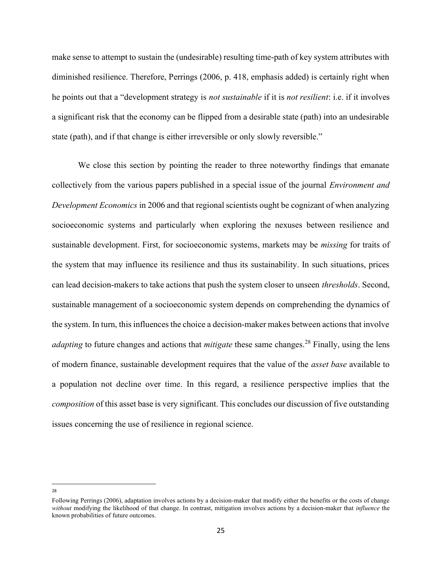make sense to attempt to sustain the (undesirable) resulting time-path of key system attributes with diminished resilience. Therefore, Perrings (2006, p. 418, emphasis added) is certainly right when he points out that a "development strategy is not sustainable if it is not resilient: i.e. if it involves a significant risk that the economy can be flipped from a desirable state (path) into an undesirable state (path), and if that change is either irreversible or only slowly reversible."

We close this section by pointing the reader to three noteworthy findings that emanate collectively from the various papers published in a special issue of the journal Environment and Development Economics in 2006 and that regional scientists ought be cognizant of when analyzing socioeconomic systems and particularly when exploring the nexuses between resilience and sustainable development. First, for socioeconomic systems, markets may be missing for traits of the system that may influence its resilience and thus its sustainability. In such situations, prices can lead decision-makers to take actions that push the system closer to unseen thresholds. Second, sustainable management of a socioeconomic system depends on comprehending the dynamics of the system. In turn, this influences the choice a decision-maker makes between actions that involve *adapting* to future changes and actions that *mitigate* these same changes.<sup>28</sup> Finally, using the lens of modern finance, sustainable development requires that the value of the asset base available to a population not decline over time. In this regard, a resilience perspective implies that the composition of this asset base is very significant. This concludes our discussion of five outstanding issues concerning the use of resilience in regional science.

Following Perrings (2006), adaptation involves actions by a decision-maker that modify either the benefits or the costs of change without modifying the likelihood of that change. In contrast, mitigation involves actions by a decision-maker that influence the known probabilities of future outcomes.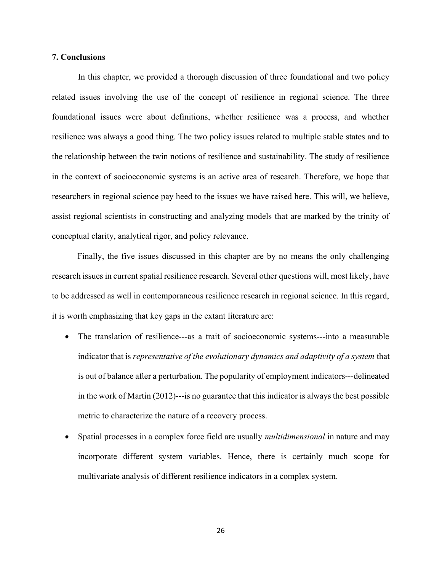#### 7. Conclusions

 In this chapter, we provided a thorough discussion of three foundational and two policy related issues involving the use of the concept of resilience in regional science. The three foundational issues were about definitions, whether resilience was a process, and whether resilience was always a good thing. The two policy issues related to multiple stable states and to the relationship between the twin notions of resilience and sustainability. The study of resilience in the context of socioeconomic systems is an active area of research. Therefore, we hope that researchers in regional science pay heed to the issues we have raised here. This will, we believe, assist regional scientists in constructing and analyzing models that are marked by the trinity of conceptual clarity, analytical rigor, and policy relevance.

Finally, the five issues discussed in this chapter are by no means the only challenging research issues in current spatial resilience research. Several other questions will, most likely, have to be addressed as well in contemporaneous resilience research in regional science. In this regard, it is worth emphasizing that key gaps in the extant literature are:

- The translation of resilience---as a trait of socioeconomic systems---into a measurable indicator that is representative of the evolutionary dynamics and adaptivity of a system that is out of balance after a perturbation. The popularity of employment indicators---delineated in the work of Martin (2012)---is no guarantee that this indicator is always the best possible metric to characterize the nature of a recovery process.
- Spatial processes in a complex force field are usually multidimensional in nature and may incorporate different system variables. Hence, there is certainly much scope for multivariate analysis of different resilience indicators in a complex system.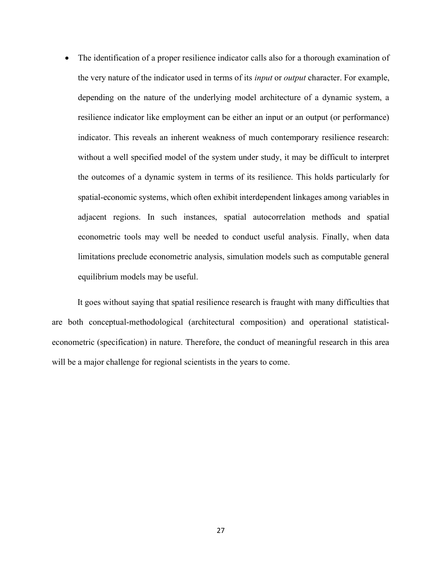• The identification of a proper resilience indicator calls also for a thorough examination of the very nature of the indicator used in terms of its *input* or *output* character. For example, depending on the nature of the underlying model architecture of a dynamic system, a resilience indicator like employment can be either an input or an output (or performance) indicator. This reveals an inherent weakness of much contemporary resilience research: without a well specified model of the system under study, it may be difficult to interpret the outcomes of a dynamic system in terms of its resilience. This holds particularly for spatial-economic systems, which often exhibit interdependent linkages among variables in adjacent regions. In such instances, spatial autocorrelation methods and spatial econometric tools may well be needed to conduct useful analysis. Finally, when data limitations preclude econometric analysis, simulation models such as computable general equilibrium models may be useful.

It goes without saying that spatial resilience research is fraught with many difficulties that are both conceptual-methodological (architectural composition) and operational statisticaleconometric (specification) in nature. Therefore, the conduct of meaningful research in this area will be a major challenge for regional scientists in the years to come.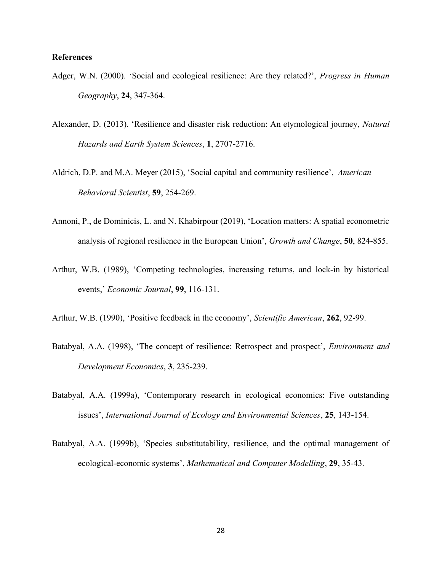#### References

- Adger, W.N. (2000). 'Social and ecological resilience: Are they related?', *Progress in Human* Geography, 24, 347-364.
- Alexander, D. (2013). 'Resilience and disaster risk reduction: An etymological journey, Natural Hazards and Earth System Sciences, 1, 2707-2716.
- Aldrich, D.P. and M.A. Meyer (2015), 'Social capital and community resilience', American Behavioral Scientist, 59, 254-269.
- Annoni, P., de Dominicis, L. and N. Khabirpour (2019), 'Location matters: A spatial econometric analysis of regional resilience in the European Union', Growth and Change, 50, 824-855.
- Arthur, W.B. (1989), 'Competing technologies, increasing returns, and lock-in by historical events,' Economic Journal, 99, 116-131.
- Arthur, W.B. (1990), 'Positive feedback in the economy', Scientific American, 262, 92-99.
- Batabyal, A.A. (1998), 'The concept of resilience: Retrospect and prospect', Environment and Development Economics, 3, 235-239.
- Batabyal, A.A. (1999a), 'Contemporary research in ecological economics: Five outstanding issues', International Journal of Ecology and Environmental Sciences, 25, 143-154.
- Batabyal, A.A. (1999b), 'Species substitutability, resilience, and the optimal management of ecological-economic systems', Mathematical and Computer Modelling, 29, 35-43.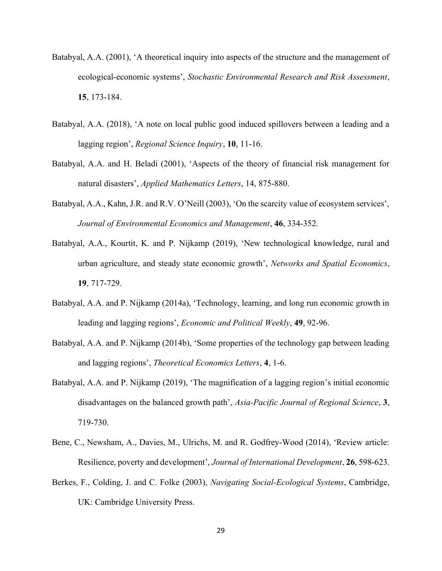- Batabyal, A.A. (2001), 'A theoretical inquiry into aspects of the structure and the management of ecological-economic systems', Stochastic Environmental Research and Risk Assessment, 15, 173-184.
- Batabyal, A.A. (2018), 'A note on local public good induced spillovers between a leading and a lagging region', Regional Science Inquiry, 10, 11-16.
- Batabyal, A.A. and H. Beladi (2001), 'Aspects of the theory of financial risk management for natural disasters', Applied Mathematics Letters, 14, 875-880.
- Batabyal, A.A., Kahn, J.R. and R.V. O'Neill (2003), 'On the scarcity value of ecosystem services', Journal of Environmental Economics and Management, 46, 334-352.
- Batabyal, A.A., Kourtit, K. and P. Nijkamp (2019), 'New technological knowledge, rural and urban agriculture, and steady state economic growth', Networks and Spatial Economics, 19, 717-729.
- Batabyal, A.A. and P. Nijkamp (2014a), 'Technology, learning, and long run economic growth in leading and lagging regions', Economic and Political Weekly, 49, 92-96.
- Batabyal, A.A. and P. Nijkamp (2014b), 'Some properties of the technology gap between leading and lagging regions', Theoretical Economics Letters, 4, 1-6.
- Batabyal, A.A. and P. Nijkamp (2019), 'The magnification of a lagging region's initial economic disadvantages on the balanced growth path', Asia-Pacific Journal of Regional Science, 3, 719-730.
- Bene, C., Newsham, A., Davies, M., Ulrichs, M. and R. Godfrey-Wood (2014), 'Review article: Resilience, poverty and development', Journal of International Development, 26, 598-623.
- Berkes, F., Colding, J. and C. Folke (2003), Navigating Social-Ecological Systems, Cambridge, UK: Cambridge University Press.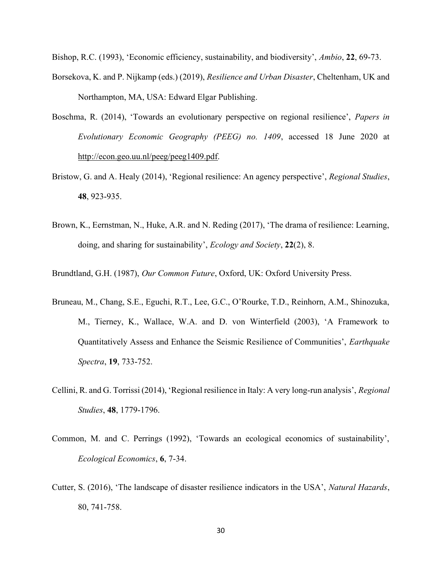Bishop, R.C. (1993), 'Economic efficiency, sustainability, and biodiversity', Ambio, 22, 69-73.

- Borsekova, K. and P. Nijkamp (eds.) (2019), Resilience and Urban Disaster, Cheltenham, UK and Northampton, MA, USA: Edward Elgar Publishing.
- Boschma, R. (2014), 'Towards an evolutionary perspective on regional resilience', Papers in Evolutionary Economic Geography (PEEG) no. 1409, accessed 18 June 2020 at http://econ.geo.uu.nl/peeg/peeg1409.pdf.
- Bristow, G. and A. Healy (2014), 'Regional resilience: An agency perspective', Regional Studies, 48, 923-935.
- Brown, K., Eernstman, N., Huke, A.R. and N. Reding (2017), 'The drama of resilience: Learning, doing, and sharing for sustainability', *Ecology and Society*, 22(2), 8.

Brundtland, G.H. (1987), Our Common Future, Oxford, UK: Oxford University Press.

- Bruneau, M., Chang, S.E., Eguchi, R.T., Lee, G.C., O'Rourke, T.D., Reinhorn, A.M., Shinozuka, M., Tierney, K., Wallace, W.A. and D. von Winterfield (2003), 'A Framework to Quantitatively Assess and Enhance the Seismic Resilience of Communities', Earthquake Spectra, 19, 733-752.
- Cellini, R. and G. Torrissi (2014), 'Regional resilience in Italy: A very long-run analysis', Regional Studies, 48, 1779-1796.
- Common, M. and C. Perrings (1992), 'Towards an ecological economics of sustainability', Ecological Economics, 6, 7-34.
- Cutter, S. (2016), 'The landscape of disaster resilience indicators in the USA', Natural Hazards, 80, 741-758.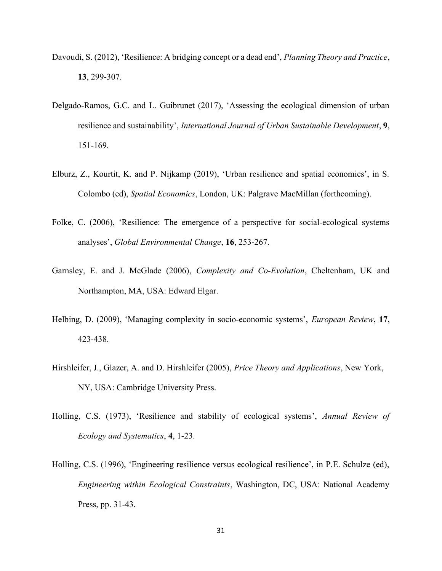- Davoudi, S. (2012), 'Resilience: A bridging concept or a dead end', *Planning Theory and Practice*, 13, 299-307.
- Delgado-Ramos, G.C. and L. Guibrunet (2017), 'Assessing the ecological dimension of urban resilience and sustainability', International Journal of Urban Sustainable Development, 9, 151-169.
- Elburz, Z., Kourtit, K. and P. Nijkamp (2019), 'Urban resilience and spatial economics', in S. Colombo (ed), Spatial Economics, London, UK: Palgrave MacMillan (forthcoming).
- Folke, C. (2006), 'Resilience: The emergence of a perspective for social-ecological systems analyses', Global Environmental Change, 16, 253-267.
- Garnsley, E. and J. McGlade (2006), Complexity and Co-Evolution, Cheltenham, UK and Northampton, MA, USA: Edward Elgar.
- Helbing, D. (2009), 'Managing complexity in socio-economic systems', European Review, 17, 423-438.
- Hirshleifer, J., Glazer, A. and D. Hirshleifer (2005), Price Theory and Applications, New York, NY, USA: Cambridge University Press.
- Holling, C.S. (1973), 'Resilience and stability of ecological systems', Annual Review of Ecology and Systematics, 4, 1-23.
- Holling, C.S. (1996), 'Engineering resilience versus ecological resilience', in P.E. Schulze (ed), Engineering within Ecological Constraints, Washington, DC, USA: National Academy Press, pp. 31-43.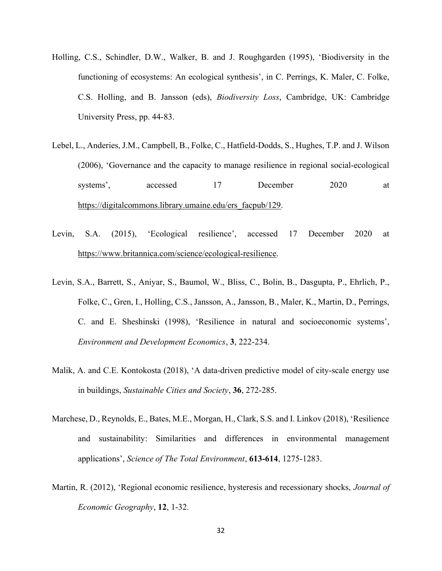- Holling, C.S., Schindler, D.W., Walker, B. and J. Roughgarden (1995), 'Biodiversity in the functioning of ecosystems: An ecological synthesis', in C. Perrings, K. Maler, C. Folke, C.S. Holling, and B. Jansson (eds), Biodiversity Loss, Cambridge, UK: Cambridge University Press, pp. 44-83.
- Lebel, L., Anderies, J.M., Campbell, B., Folke, C., Hatfield-Dodds, S., Hughes, T.P. and J. Wilson (2006), 'Governance and the capacity to manage resilience in regional social-ecological systems', accessed 17 December 2020 at https://digitalcommons.library.umaine.edu/ers\_facpub/129.
- Levin, S.A. (2015), 'Ecological resilience', accessed 17 December 2020 at https://www.britannica.com/science/ecological-resilience.
- Levin, S.A., Barrett, S., Aniyar, S., Baumol, W., Bliss, C., Bolin, B., Dasgupta, P., Ehrlich, P., Folke, C., Gren, I., Holling, C.S., Jansson, A., Jansson, B., Maler, K., Martin, D., Perrings, C. and E. Sheshinski (1998), 'Resilience in natural and socioeconomic systems', Environment and Development Economics, 3, 222-234.
- Malik, A. and C.E. Kontokosta (2018), 'A data-driven predictive model of city-scale energy use in buildings, Sustainable Cities and Society, 36, 272-285.
- Marchese, D., Reynolds, E., Bates, M.E., Morgan, H., Clark, S.S. and I. Linkov (2018), 'Resilience and sustainability: Similarities and differences in environmental management applications', Science of The Total Environment, 613-614, 1275-1283.
- Martin, R. (2012), 'Regional economic resilience, hysteresis and recessionary shocks, *Journal of* Economic Geography, 12, 1-32.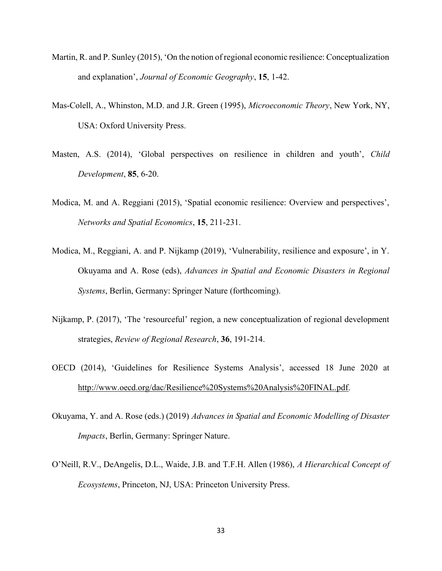- Martin, R. and P. Sunley (2015), 'On the notion of regional economic resilience: Conceptualization and explanation', Journal of Economic Geography, 15, 1-42.
- Mas-Colell, A., Whinston, M.D. and J.R. Green (1995), Microeconomic Theory, New York, NY, USA: Oxford University Press.
- Masten, A.S. (2014), 'Global perspectives on resilience in children and youth', Child Development, 85, 6-20.
- Modica, M. and A. Reggiani (2015), 'Spatial economic resilience: Overview and perspectives', Networks and Spatial Economics, 15, 211-231.
- Modica, M., Reggiani, A. and P. Nijkamp (2019), 'Vulnerability, resilience and exposure', in Y. Okuyama and A. Rose (eds), Advances in Spatial and Economic Disasters in Regional Systems, Berlin, Germany: Springer Nature (forthcoming).
- Nijkamp, P. (2017), 'The 'resourceful' region, a new conceptualization of regional development strategies, Review of Regional Research, 36, 191-214.
- OECD (2014), 'Guidelines for Resilience Systems Analysis', accessed 18 June 2020 at http://www.oecd.org/dac/Resilience%20Systems%20Analysis%20FINAL.pdf.
- Okuyama, Y. and A. Rose (eds.) (2019) Advances in Spatial and Economic Modelling of Disaster Impacts, Berlin, Germany: Springer Nature.
- O'Neill, R.V., DeAngelis, D.L., Waide, J.B. and T.F.H. Allen (1986), A Hierarchical Concept of Ecosystems, Princeton, NJ, USA: Princeton University Press.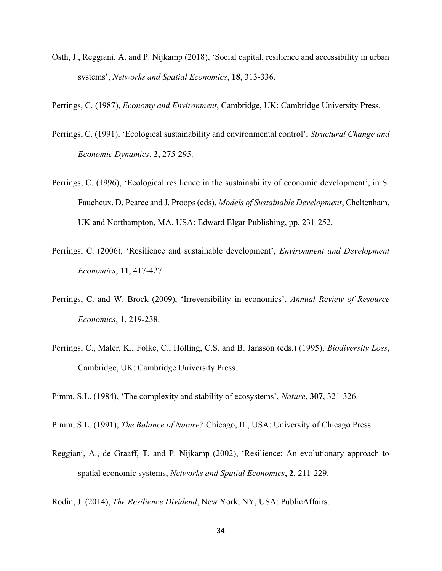Osth, J., Reggiani, A. and P. Nijkamp (2018), 'Social capital, resilience and accessibility in urban systems', Networks and Spatial Economics, 18, 313-336.

Perrings, C. (1987), Economy and Environment, Cambridge, UK: Cambridge University Press.

- Perrings, C. (1991), 'Ecological sustainability and environmental control', Structural Change and Economic Dynamics, 2, 275-295.
- Perrings, C. (1996), 'Ecological resilience in the sustainability of economic development', in S. Faucheux, D. Pearce and J. Proops (eds), Models of Sustainable Development, Cheltenham, UK and Northampton, MA, USA: Edward Elgar Publishing, pp. 231-252.
- Perrings, C. (2006), 'Resilience and sustainable development', Environment and Development Economics, 11, 417-427.
- Perrings, C. and W. Brock (2009), 'Irreversibility in economics', Annual Review of Resource Economics, 1, 219-238.
- Perrings, C., Maler, K., Folke, C., Holling, C.S. and B. Jansson (eds.) (1995), Biodiversity Loss, Cambridge, UK: Cambridge University Press.

Pimm, S.L. (1984), 'The complexity and stability of ecosystems', Nature, 307, 321-326.

Pimm, S.L. (1991), The Balance of Nature? Chicago, IL, USA: University of Chicago Press.

Reggiani, A., de Graaff, T. and P. Nijkamp (2002), 'Resilience: An evolutionary approach to spatial economic systems, Networks and Spatial Economics, 2, 211-229.

Rodin, J. (2014), The Resilience Dividend, New York, NY, USA: PublicAffairs.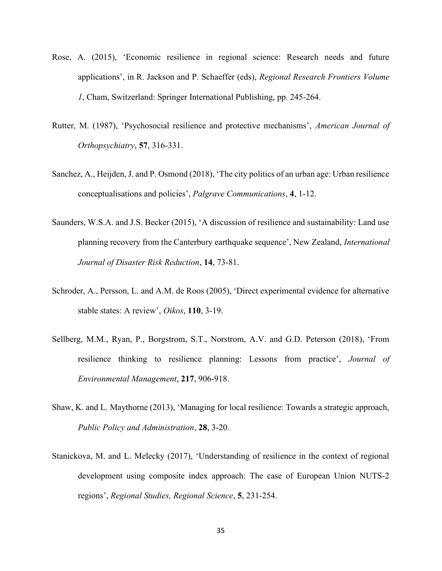- Rose, A. (2015), 'Economic resilience in regional science: Research needs and future applications', in R. Jackson and P. Schaeffer (eds), Regional Research Frontiers Volume 1, Cham, Switzerland: Springer International Publishing, pp. 245-264.
- Rutter, M. (1987), 'Psychosocial resilience and protective mechanisms', American Journal of Orthopsychiatry, 57, 316-331.
- Sanchez, A., Heijden, J. and P. Osmond (2018), 'The city politics of an urban age: Urban resilience conceptualisations and policies', Palgrave Communications, 4, 1-12.
- Saunders, W.S.A. and J.S. Becker (2015), 'A discussion of resilience and sustainability: Land use planning recovery from the Canterbury earthquake sequence', New Zealand, International Journal of Disaster Risk Reduction, 14, 73-81.
- Schroder, A., Persson, L. and A.M. de Roos (2005), 'Direct experimental evidence for alternative stable states: A review', Oikos, 110, 3-19.
- Sellberg, M.M., Ryan, P., Borgstrom, S.T., Norstrom, A.V. and G.D. Peterson (2018), 'From resilience thinking to resilience planning: Lessons from practice', Journal of Environmental Management, 217, 906-918.
- Shaw, K. and L. Maythorne (2013), 'Managing for local resilience: Towards a strategic approach, Public Policy and Administration, 28, 3-20.
- Stanickova, M. and L. Melecky (2017), 'Understanding of resilience in the context of regional development using composite index approach: The case of European Union NUTS-2 regions', Regional Studies, Regional Science, 5, 231-254.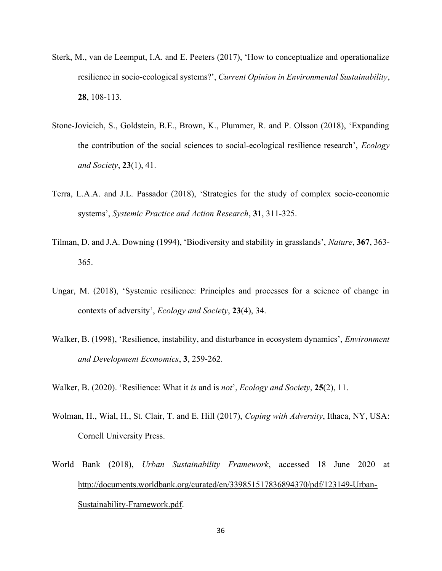- Sterk, M., van de Leemput, I.A. and E. Peeters (2017), 'How to conceptualize and operationalize resilience in socio-ecological systems?', Current Opinion in Environmental Sustainability, 28, 108-113.
- Stone-Jovicich, S., Goldstein, B.E., Brown, K., Plummer, R. and P. Olsson (2018), 'Expanding the contribution of the social sciences to social-ecological resilience research', Ecology and Society, 23(1), 41.
- Terra, L.A.A. and J.L. Passador (2018), 'Strategies for the study of complex socio-economic systems', Systemic Practice and Action Research, 31, 311-325.
- Tilman, D. and J.A. Downing (1994), 'Biodiversity and stability in grasslands', Nature, 367, 363- 365.
- Ungar, M. (2018), 'Systemic resilience: Principles and processes for a science of change in contexts of adversity', Ecology and Society, 23(4), 34.
- Walker, B. (1998), 'Resilience, instability, and disturbance in ecosystem dynamics', *Environment* and Development Economics, 3, 259-262.
- Walker, B. (2020). 'Resilience: What it is and is not', Ecology and Society, 25(2), 11.
- Wolman, H., Wial, H., St. Clair, T. and E. Hill (2017), Coping with Adversity, Ithaca, NY, USA: Cornell University Press.
- World Bank (2018), Urban Sustainability Framework, accessed 18 June 2020 at http://documents.worldbank.org/curated/en/339851517836894370/pdf/123149-Urban-Sustainability-Framework.pdf.